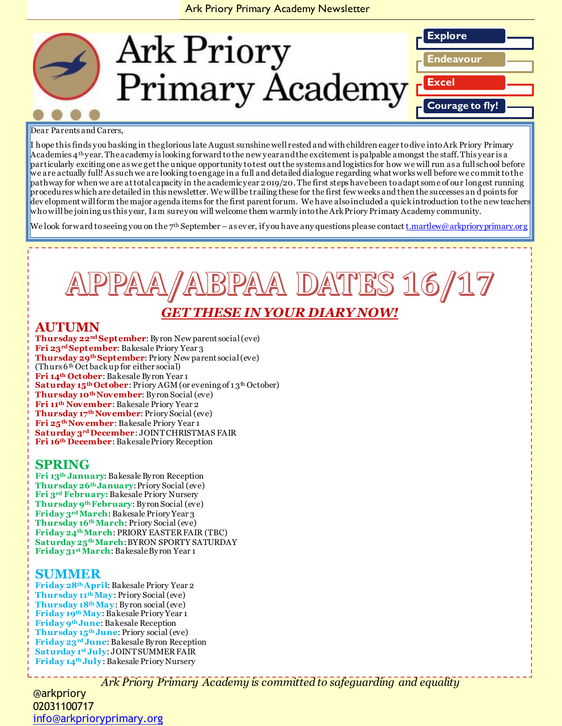## Ark Priory Primary Academy Newsletter



#### Dear Parents and Carers,

I hope this finds you basking in the glorious late August sunshine well rested and with children eager to dive into Ark Priory Primary Academies 4<sup>th</sup> year. The academy is looking forward to the new year and the excitement is palpable amongst the staff. This year is a particularly exciting one as we get the unique opportunity to test out the systems and logistics for how we will run as a full school before we are actually full! As such we are looking to engage in a full and detailed dialogue regarding what works well before we commit to the pathway for when we are at total capacity in the academic year 2019/20. The first steps have been to adapt some of our longest running procedures which are detailed in this newsletter. We will be trailing these for the first few weeks and then the successes an d points for dev elopment will form the major agenda items for the first parent forum. We have also included a quick introduction to the new teachers who will be joining us this year, I am sure you will welcome them warmly into the Ark Priory Primary Academy community.

We look forward to seeing you on the 7<sup>th</sup> September – as ever, if you have any questions please contact  $\underline{t}.martlew@arkprioryprimary.org$ 

# A DATES 16/17

# **THESE IN YOUR DIARY NOW!**

# **AUTUMN**

**Thursday 22nd September**: Byron New parent social (eve) **Fri 23rd September**: Bakesale Priory Year 3 **Thursday 29th September**: Priory New parent social (eve) (Thurs  $6<sup>th</sup>$  Oct back up for either social) **Fri 14th October**: Bakesale Byron Year 1 Saturday 15<sup>th</sup> October: Priory AGM (or evening of 13<sup>th</sup> October) **Thursday 10thNovember**: Byron Social (eve) **Fri 11th November**: Bakesale Priory Year 2 **Thursday 17thNovember**: Priory Social (eve) **Fri 25thNovember**: Bakesale Priory Year 1 **Saturday 3rd December**: JOINT CHRISTMAS FAIR **Fri 16th December**: Bakesale Priory Reception

# **SPRING**

**Fri 13th January**: Bakesale Byron Reception **Thursday 26th January**: Priory Social (eve) **Fri 3rd February:**Bakesale Priory Nursery **Thursday 9th February**: Byron Social (eve) **Friday 3rdMarch**: Bakesale Priory Year 3 **Thursday 16thMarch**: Priory Social (eve) **Friday 24thMarch**: PRIORY EASTER FAIR (TBC) **Saturday 25thMarch**: BYRON SPORTY SATURDAY **Friday 31stMarch**: Bakesale Byron Year 1

## **SUMMER**

**Friday 28thApril**: Bakesale Priory Year 2 **Thursday 11thMay**: Priory Social (eve) **Thursday 18thMay**: Byron social (eve) **Friday 19thMay**: Bakesale Priory Year 1 **Friday 9th June**: Bakesale Reception **Thursday 15th June**: Priory social (eve) **Friday 23rd June**: Bakesale Byron Reception **Saturday 1st July**: JOINT SUMMER FAIR **Friday 14th July**: Bakesale Priory Nursery

*Ark Priory Primary Academy is committed to safeguarding and equality* 

@arkpriory 02031100717 [info@arkprioryprimary.org](mailto:info@arkprioryprimary.org)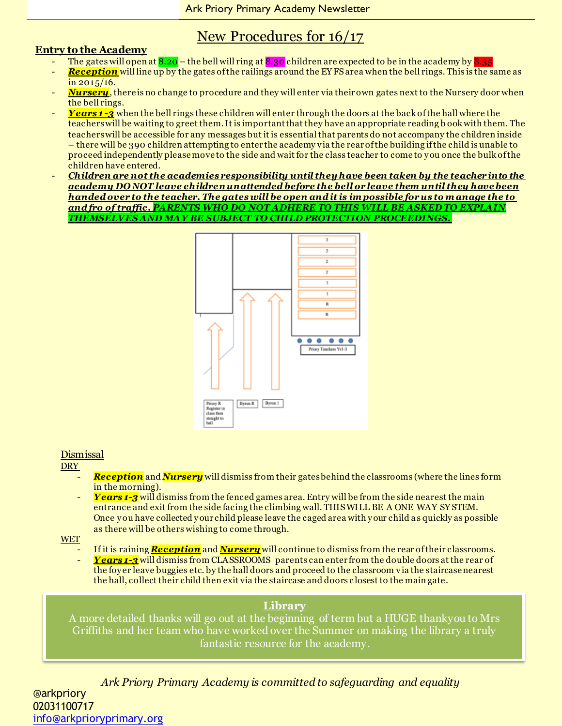# New Procedures for 16/17

## **Entry to the Academy**

- The gates will open at  $8.20$  the bell will ring at  $8.30$  children are expected to be in the academy by  $8.35$
- *Reception* will line up by the gates of the railings around the EY FS area when the bell rings. This is the same as in 2015/16.
- *Nursery*, there is no change to procedure and they will enter via their own gates next to the Nursery door when the bell rings.
- *Years 1 -3* when the bell rings these children will enter through the doors at the back of the hall where the teachers will be waiting to greet them. It is important that they have an appropriate reading b ook with them. The teachers will be accessible for any messages but it is essential that parents do not accompany the children inside – there will be 390 children attempting to enter the academy via the rear of the building if the child is unable to proceed independently please move to the side and wait for the class teacher to come to y ou once the bulk of the children have entered.
- *Children are not the academies responsibility until they have been taken by the teacher into the academy DO NOT leave children unattended before the bell or leave them until they have been handed over to the teacher. The gates will be open and it is im possible for us to m anage the to and fro of traffic. PARENTS WHO DO NOT ADHERE TO THIS WILL BE ASKED TO EXPLAIN THEMSELVES AND MAY BE SUBJECT TO CHILD PROTECTION PROCEEDINGS.*



## Dismissal

### DRY<sub>\_</sub>

- *Reception* and *Nursery* will dismiss from their gates behind the classrooms (where the lines form in the morning).
- Years 1-3<sup></sup> will dismiss from the fenced games area. Entry will be from the side nearest the main entrance and exit from the side facing the climbing wall. THIS WILL BE A ONE WAY SY STEM. Once y ou have collected y our child please leave the caged area with y our child a s quickly as possible as there will be others wishing to come through.
- **WET** 
	- If it is raining **Reception** and **Nursery** will continue to dismiss from the rear of their classrooms.
	- *Years 1-3* will dismiss from CLASSROOMS parents can enter from the double doors at the rear of the foy er leave buggies etc. by the hall doors and proceed to the classroom via the staircase nearest the hall, collect their child then exit via the staircase and doors c losest to the main gate.

## **Library**

A more detailed thanks will go out at the beginning of term but a HUGE thankyou to Mrs Griffiths and her team who have worked over the Summer on making the library a truly fantastic resource for the academy.

*Ark Priory Primary Academy is committed to safeguarding and equality*  @arkpriory 02031100717 [info@arkprioryprimary.org](mailto:info@arkprioryprimary.org)